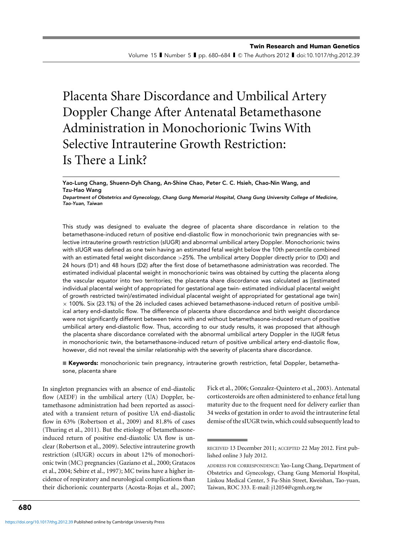# Placenta Share Discordance and Umbilical Artery Doppler Change After Antenatal Betamethasone Administration in Monochorionic Twins With Selective Intrauterine Growth Restriction: Is There a Link?

Yao-Lung Chang, Shuenn-Dyh Chang, An-Shine Chao, Peter C. C. Hsieh, Chao-Nin Wang, and Tzu-Hao Wang

Department of Obstetrics and Gynecology, Chang Gung Memorial Hospital, Chang Gung University College of Medicine, Tao-Yuan, Taiwan

This study was designed to evaluate the degree of placenta share discordance in relation to the betamethasone-induced return of positive end-diastolic flow in monochorionic twin pregnancies with selective intrauterine growth restriction (sIUGR) and abnormal umbilical artery Doppler. Monochorionic twins with sIUGR was defined as one twin having an estimated fetal weight below the 10th percentile combined with an estimated fetal weight discordance >25%. The umbilical artery Doppler directly prior to (D0) and 24 hours (D1) and 48 hours (D2) after the first dose of betamethasone administration was recorded. The estimated individual placental weight in monochorionic twins was obtained by cutting the placenta along the vascular equator into two territories; the placenta share discordance was calculated as [(estimated individual placental weight of appropriated for gestational age twin- estimated individual placental weight of growth restricted twin)/estimated individual placental weight of appropriated for gestational age twin]  $\times$  100%. Six (23.1%) of the 26 included cases achieved betamethasone-induced return of positive umbilical artery end-diastolic flow. The difference of placenta share discordance and birth weight discordance were not significantly different between twins with and without betamethasone-induced return of positive umbilical artery end-diastolic flow. Thus, according to our study results, it was proposed that although the placenta share discordance correlated with the abnormal umbilical artery Doppler in the IUGR fetus in monochorionic twin, the betamethasone-induced return of positive umbilical artery end-diastolic flow, however, did not reveal the similar relationship with the severity of placenta share discordance.

 $\blacksquare$  Keywords: monochorionic twin pregnancy, intrauterine growth restriction, fetal Doppler, betamethasone, placenta share

In singleton pregnancies with an absence of end-diastolic flow (AEDF) in the umbilical artery (UA) Doppler, betamethasone administration had been reported as associated with a transient return of positive UA end-diastolic flow in 63% (Robertson et al., 2009) and 81.8% of cases (Thuring et al., 2011). But the etiology of betamethasoneinduced return of positive end-diastolic UA flow is unclear (Robertson et al., 2009). Selective intrauterine growth restriction (sIUGR) occurs in about 12% of monochorionic twin (MC) pregnancies (Gaziano et al., 2000; Gratacos et al., 2004; Sebire et al., 1997); MC twins have a higher incidence of respiratory and neurological complications than their dichorionic counterparts (Acosta-Rojas et al., 2007; Fick et al., 2006; Gonzalez-Quintero et al., 2003). Antenatal corticosteroids are often administered to enhance fetal lung maturity due to the frequent need for delivery earlier than 34 weeks of gestation in order to avoid the intrauterine fetal demise of the sIUGR twin, which could subsequently lead to

RECEIVED 13 December 2011; ACCEPTED 22 May 2012. First published online 3 July 2012.

ADDRESS FOR CORRESPONDENCE: Yao-Lung Chang, Department of Obstetrics and Gynecology, Chang Gung Memorial Hospital, Linkou Medical Center, 5 Fu-Shin Street, Kweishan, Tao-yuan, Taiwan, ROC 333. E-mail: j12054@cgmh.org.tw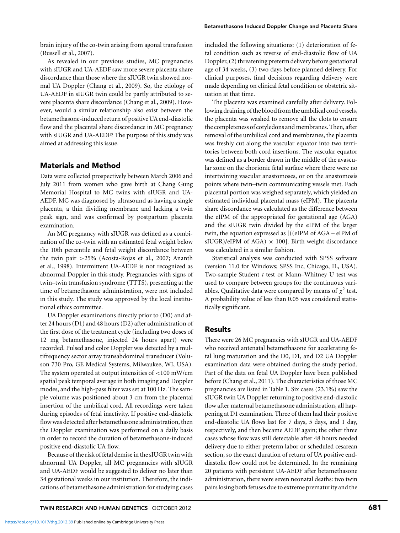brain injury of the co-twin arising from agonal transfusion (Russell et al., 2007).

As revealed in our previous studies, MC pregnancies with sIUGR and UA-AEDF saw more severe placenta share discordance than those where the sIUGR twin showed normal UA Doppler (Chang et al., 2009). So, the etiology of UA-AEDF in sIUGR twin could be partly attributed to severe placenta share discordance (Chang et al., 2009). However, would a similar relationship also exist between the betamethasone-induced return of positive UA end-diastolic flow and the placental share discordance in MC pregnancy with sIUGR and UA-AEDF? The purpose of this study was aimed at addressing this issue.

# Materials and Method

Data were collected prospectively between March 2006 and July 2011 from women who gave birth at Chang Gung Memorial Hospital to MC twins with sIUGR and UA-AEDF. MC was diagnosed by ultrasound as having a single placenta, a thin dividing membrane and lacking a twin peak sign, and was confirmed by postpartum placenta examination.

An MC pregnancy with sIUGR was defined as a combination of the co-twin with an estimated fetal weight below the 10th percentile and fetal weight discordance between the twin pair *>*25% (Acosta-Rojas et al., 2007; Ananth et al., 1998). Intermittent UA-AEDF is not recognized as abnormal Doppler in this study. Pregnancies with signs of twin–twin transfusion syndrome (TTTS), presenting at the time of betamethasone administration, were not included in this study. The study was approved by the local institutional ethics committee.

UA Doppler examinations directly prior to (D0) and after 24 hours (D1) and 48 hours (D2) after administration of the first dose of the treatment cycle (including two doses of 12 mg betamethasone, injected 24 hours apart) were recorded. Pulsed and color Doppler was detected by a multifrequency sector array transabdominal transducer (Voluson 730 Pro, GE Medical Systems, Milwaukee, WI, USA). The system operated at output intensities of *<*100 mW/cm spatial peak temporal average in both imaging and Doppler modes, and the high-pass filter was set at 100 Hz. The sample volume was positioned about 3 cm from the placental insertion of the umbilical cord. All recordings were taken during episodes of fetal inactivity. If positive end-diastolic flow was detected after betamethasone administration, then the Doppler examination was performed on a daily basis in order to record the duration of betamethasone-induced positive end-diastolic UA flow.

Because of the risk of fetal demise in the sIUGR twin with abnormal UA Doppler, all MC pregnancies with sIUGR and UA-AEDF would be suggested to deliver no later than 34 gestational weeks in our institution. Therefore, the indications of betamethasone administration for studying cases included the following situations: (1) deterioration of fetal condition such as reverse of end-diastolic flow of UA Doppler, (2) threatening preterm delivery before gestational age of 34 weeks, (3) two days before planned delivery. For clinical purposes, final decisions regarding delivery were made depending on clinical fetal condition or obstetric situation at that time.

The placenta was examined carefully after delivery. Following draining of the blood from the umbilical cord vessels, the placenta was washed to remove all the clots to ensure the completeness of cotyledons and membranes. Then, after removal of the umbilical cord and membranes, the placenta was freshly cut along the vascular equator into two territories between both cord insertions. The vascular equator was defined as a border drawn in the middle of the avascular zone on the chorionic fetal surface where there were no intertwining vascular anastomoses, or on the anastomosis points where twin–twin communicating vessels met. Each placental portion was weighed separately, which yielded an estimated individual placental mass (eIPM). The placenta share discordance was calculated as the difference between the eIPM of the appropriated for gestational age (AGA) and the sIUGR twin divided by the eIPM of the larger twin, the equation expressed as [((eIPM of AGA – eIPM of sIUGR)/eIPM of AGA)  $\times$  100]. Birth weight discordance was calculated in a similar fashion.

Statistical analysis was conducted with SPSS software (version 11.0 for Windows; SPSS Inc, Chicago, IL, USA). Two-sample Student *t* test or Mann–Whitney U test was used to compare between groups for the continuous variables. Qualitative data were compared by means of  $\chi^2$  test. A probability value of less than 0.05 was considered statistically significant.

## Results

There were 26 MC pregnancies with sIUGR and UA-AEDF who received antenatal betamethasone for accelerating fetal lung maturation and the D0, D1, and D2 UA Doppler examination data were obtained during the study period. Part of the data on fetal UA Doppler have been published before (Chang et al., 2011). The characteristics of those MC pregnancies are listed in Table 1. Six cases (23.1%) saw the sIUGR twin UA Doppler returning to positive end-diastolic flow after maternal betamethasone administration, all happening at D1 examination. Three of them had their positive end-diastolic UA flows last for 7 days, 5 days, and 1 day, respectively, and then became AEDF again; the other three cases whose flow was still detectable after 48 hours needed delivery due to either preterm labor or scheduled cesarean section, so the exact duration of return of UA positive enddiastolic flow could not be determined. In the remaining 20 patients with persistent UA-AEDF after betamethasone administration, there were seven neonatal deaths: two twin pairs losing both fetuses due to extreme prematurity and the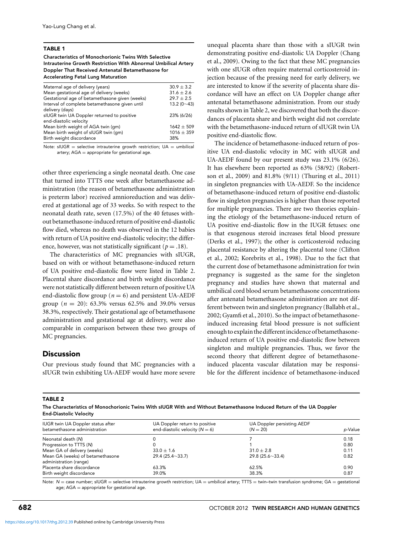#### TABLE 1

Characteristics of Monochorionic Twins With Selective Intrauterine Growth Restriction With Abnormal Umbilical Artery Doppler That Received Antenatal Betamethasone for Accelerating Fetal Lung Maturation

| Maternal age of delivery (years)               | $30.9 + 3.2$       |
|------------------------------------------------|--------------------|
| Mean gestational age of delivery (weeks)       | $31.6 + 2.6$       |
| Gestational age of betamethasone given (weeks) | $29.7 + 2.5$       |
| Interval of complete betamethasone given until | 13.2 $(0 \sim 43)$ |
| delivery (days)                                |                    |
| sIUGR twin UA Doppler returned to positive     | 23% (6/26)         |
| end-diastolic velocity                         |                    |
| Mean birth weight of AGA twin (gm)             | $1642 + 509$       |
| Mean birth weight of sIUGR twin (gm)           | $1016 \pm 359$     |
| Birth weight discordance                       | 38%                |
|                                                |                    |

Note:  $sIUGR$  = selective intrauterine growth restriction;  $UA$  = umbilical artery; AGA = appropriate for gestational age.

other three experiencing a single neonatal death. One case that turned into TTTS one week after betamethasone administration (the reason of betamethasone administration is preterm labor) received amnioreduction and was delivered at gestational age of 33 weeks. So with respect to the neonatal death rate, seven (17.5%) of the 40 fetuses without betamethasone-induced return of positive end-diastolic flow died, whereas no death was observed in the 12 babies with return of UA positive end-diastolic velocity; the difference, however, was not statistically significant ( $p = .18$ ).

The characteristics of MC pregnancies with sIUGR, based on with or without betamethasone-induced return of UA positive end-diastolic flow were listed in Table 2. Placental share discordance and birth weight discordance were not statistically different between return of positive UA end-diastolic flow group ( $n = 6$ ) and persistent UA-AEDF group ( $n = 20$ ): 63.3% versus 62.5% and 39.0% versus 38.3%, respectively. Their gestational age of betamethasone administration and gestational age at delivery, were also comparable in comparison between these two groups of MC pregnancies.

## **Discussion**

Our previous study found that MC pregnancies with a sIUGR twin exhibiting UA-AEDF would have more severe unequal placenta share than those with a sIUGR twin demonstrating positive end-diastolic UA Doppler (Chang et al., 2009). Owing to the fact that these MC pregnancies with one sIUGR often require maternal corticosteroid injection because of the pressing need for early delivery, we are interested to know if the severity of placenta share discordance will have an effect on UA Doppler change after antenatal betamethasone administration. From our study results shown in Table 2, we discovered that both the discordances of placenta share and birth weight did not correlate with the betamethasone-induced return of sIUGR twin UA positive end-diastolic flow.

The incidence of betamethasone-induced return of positive UA end-diastolic velocity in MC with sIUGR and UA-AEDF found by our present study was 23.1% (6/26). It has elsewhere been reported as 63% (58/92) (Robertson et al., 2009) and 81.8% (9/11) (Thuring et al., 2011) in singleton pregnancies with UA-AEDF. So the incidence of betamethasone-induced return of positive end-diastolic flow in singleton pregnancies is higher than those reported for multiple pregnancies. There are two theories explaining the etiology of the betamethasone-induced return of UA positive end-diastolic flow in the IUGR fetuses: one is that exogenous steroid increases fetal blood pressure (Derks et al., 1997); the other is corticosteroid reducing placental resistance by altering the placental tone (Clifton et al., 2002; Korebrits et al., 1998). Due to the fact that the current dose of betamethasone administration for twin pregnancy is suggested as the same for the singleton pregnancy and studies have shown that maternal and umbilical cord blood serum betamethasone concentrations after antenatal betamethasone administration are not different between twin and singleton pregnancy (Ballabh et al., 2002; Gyamfi et al., 2010). So the impact of betamethasoneinduced increasing fetal blood pressure is not sufficient enough to explain the differentincidence of betamethasoneinduced return of UA positive end-diastolic flow between singleton and multiple pregnancies. Thus, we favor the second theory that different degree of betamethasoneinduced placenta vascular dilatation may be responsible for the different incidence of betamethasone-induced

#### TABLE 2

The Characteristics of Monochorionic Twins With sIUGR With and Without Betamethasone Induced Return of the UA Doppler End-Diastolic Velocity

| IUGR twin UA Doppler status after<br>betamethasone administration | UA Doppler return to positive<br>end-diastolic velocity ( $N = 6$ ) | UA Doppler persisting AEDF<br>$(N = 20)$ | p-Value |
|-------------------------------------------------------------------|---------------------------------------------------------------------|------------------------------------------|---------|
| Neonatal death (N)                                                |                                                                     |                                          | 0.18    |
| Progression to TTTS (N)                                           |                                                                     |                                          | 0.80    |
| Mean GA of delivery (weeks)                                       | $33.0 + 1.6$                                                        | $31.0 + 2.8$                             | 0.11    |
| Mean GA (weeks) of betamethasone                                  | $29.4(25.4\sim33.7)$                                                | $29.8(25.6\sim33.4)$                     | 0.82    |
| administration (range)                                            |                                                                     |                                          |         |
| Placenta share discordance                                        | 63.3%                                                               | 62.5%                                    | 0.90    |
| Birth weight discordance                                          | 39.0%                                                               | 38.3%                                    | 0.87    |

Note: N = case number; sIUGR = selective intrauterine growth restriction; UA = umbilical artery; TTTS = twin-twin transfusion syndrome; GA = gestational age; AGA = appropriate for gestational age.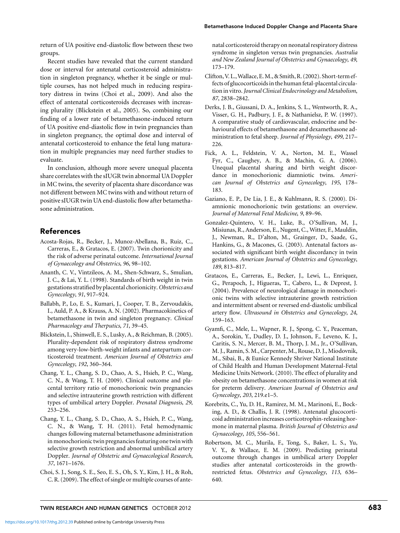return of UA positive end-diastolic flow between these two groups.

Recent studies have revealed that the current standard dose or interval for antenatal corticosteroid administration in singleton pregnancy, whether it be single or multiple courses, has not helped much in reducing respiratory distress in twins (Choi et al., 2009). And also the effect of antenatal corticosteroids decreases with increasing plurality (Blickstein et al., 2005). So, combining our finding of a lower rate of betamethasone-induced return of UA positive end-diastolic flow in twin pregnancies than in singleton pregnancy, the optimal dose and interval of antenatal corticosteroid to enhance the fetal lung maturation in multiple pregnancies may need further studies to evaluate.

In conclusion, although more severe unequal placenta share correlates with the sIUGR twin abnormal UA Doppler in MC twins, the severity of placenta share discordance was not different between MC twins with and without return of positive sIUGR twin UA end-diastolic flow after betamethasone administration.

## References

- Acosta-Rojas, R., Becker, J., Munoz-Abellana, B., Ruiz, C., Carreras, E., & Gratacos, E. (2007). Twin chorionicity and the risk of adverse perinatal outcome. *International Journal of Gynaecology and Obstetrics*, *96*, 98–102.
- Ananth, C. V., Vintzileos, A. M., Shen-Schwarz, S., Smulian, J. C., & Lai, Y. L. (1998). Standards of birth weight in twin gestations stratified by placental chorionicity.*Obstetrics and Gynecology*, *91*, 917–924.
- Ballabh, P., Lo, E. S., Kumari, J., Cooper, T. B., Zervoudakis, I., Auld, P. A., & Krauss, A. N. (2002). Pharmacokinetics of betamethasone in twin and singleton pregnancy. *Clinical Pharmacology and Therputics*, *71*, 39–45.
- Blickstein, I., Shinwell, E. S., Lusky, A., & Reichman, B. (2005). Plurality-dependent risk of respiratory distress syndrome among very-low-birth-weight infants and antepartum corticosteroid treatment. *American Journal of Obstetrics and Gynecology*, *192*, 360–364.
- Chang, Y. L., Chang, S. D., Chao, A. S., Hsieh, P. C., Wang, C. N., & Wang, T. H. (2009). Clinical outcome and placental territory ratio of monochorionic twin pregnancies and selective intrauterine growth restriction with different types of umbilical artery Doppler. *Prenatal Diagnosis*, *29*, 253–256.
- Chang, Y. L., Chang, S. D., Chao, A. S., Hsieh, P. C., Wang, C. N., & Wang, T. H. (2011). Fetal hemodynamic changes following maternal betamethasone administration in monochorionic twin pregnancies featuring one twin with selective growth restriction and abnormal umbilical artery Doppler. *Journal of Obstetric and Gynaecological Research*, *37*, 1671–1676.
- Choi, S. J., Song, S. E., Seo, E. S., Oh, S. Y., Kim, J. H., & Roh, C. R. (2009). The effect of single or multiple courses of ante-

natal corticosteroid therapy on neonatal respiratory distress syndrome in singleton versus twin pregnancies. *Australia and New Zealand Journal of Obstetrics and Gynaecology*, *49*, 173–179.

- Clifton, V. L.,Wallace, E.M., & Smith, R. (2002). Short-term effects of glucocorticoids in the human fetal-placental circulation in vitro.*Journal Clinical Endocrinology andMetabolism*, *87*, 2838–2842.
- Derks, J. B., Giussani, D. A., Jenkins, S. L., Wentworth, R. A., Visser, G. H., Padbury, J. F., & Nathanielsz, P. W. (1997). A comparative study of cardiovascular, endocrine and behavioural effects of betamethasone and dexamethasone administration to fetal sheep. *Journal of Physiology*, *499*, 217– 226.
- Fick, A. L., Feldstein, V. A., Norton, M. E., Wassel Fyr, C., Caughey, A. B., & Machin, G. A. (2006). Unequal placental sharing and birth weight discordance in monochorionic diamniotic twins. *American Journal of Obstetrics and Gynecology*, *195*, 178– 183.
- Gaziano, E. P., De Lia, J. E., & Kuhlmann, R. S. (2000). Diamnionic monochorionic twin gestations: an overview. *Journal of Maternal Fetal Medicine*, *9*, 89–96.
- Gonzalez-Quintero, V. H., Luke, B., O'Sullivan, M, J., Misiunas, R., Anderson, E., Nugent, C., Witter, F., Mauldin, J., Newman, R., D'alton, M., Grainger, D., Saade, G., Hankins, G., & Macones, G. (2003). Antenatal factors associated with significant birth weight discordancy in twin gestations. *American Journal of Obstetrics and Gynecology*, *189*, 813–817.
- Gratacos, E., Carreras, E., Becker, J., Lewi, L., Enriquez, G., Perapoch, J., Higueras, T., Cabero, L., & Deprest, J. (2004). Prevalence of neurological damage in monochorionic twins with selective intrauterine growth restriction and intermittent absent or reversed end-diastolic umbilical artery flow. *Ultrasound in Obstetrics and Gynecology*, *24*, 159–163.
- Gyamfi, C., Mele, L., Wapner, R. J., Spong, C. Y., Peaceman, A., Sorokin, Y., Dudley, D. J., Johnson, F., Leveno, K. J., Caritis, S. N., Mercer, B. M., Thorp, J. M., Jr., O'Sullivan, M. J., Ramin, S. M., Carpenter, M., Rouse, D. J., Miodovnik, M., Sibai, B., & Eunice Kennedy Shriver National Institute of Child Health and Human Development Maternal-Fetal Medicine Units Network. (2010). The effect of plurality and obesity on betamethasone concentrations in women at risk for preterm delivery. *American Journal of Obstetrics and Gynecology*, *203*, 219.e1–5.
- Korebrits, C., Yu, D. H., Ramirez, M. M., Marinoni, E., Bocking, A. D., & Challis, J. R. (1998). Antenatal glucocorticoid administration increases corticotrophin-releasing hormone in maternal plasma. *British Journal of Obstetrics and Gynaecology*, *105*, 556–561.
- Robertson, M. C., Murila, F., Tong, S., Baker, L. S., Yu, V. Y., & Wallace, E. M. (2009). Predicting perinatal outcome through changes in umbilical artery Doppler studies after antenatal corticosteroids in the growthrestricted fetus. *Obstetrics and Gynecology*, *113*, 636– 640.